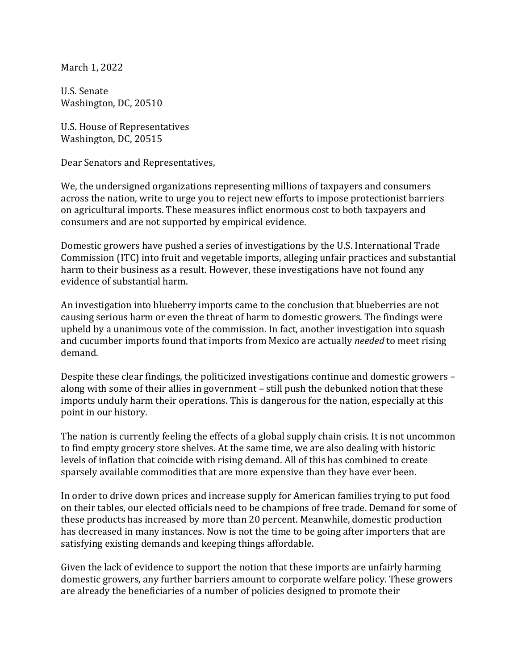March 1, 2022

U.S. Senate Washington, DC, 20510

U.S. House of Representatives Washington, DC, 20515

Dear Senators and Representatives,

We, the undersigned organizations representing millions of taxpayers and consumers across the nation, write to urge you to reject new efforts to impose protectionist barriers on agricultural imports. These measures inflict enormous cost to both taxpayers and consumers and are not supported by empirical evidence.

Domestic growers have pushed a series of investigations by the U.S. International Trade Commission (ITC) into fruit and vegetable imports, alleging unfair practices and substantial harm to their business as a result. However, these investigations have not found any evidence of substantial harm.

An investigation into blueberry imports came to the conclusion that blueberries are not causing serious harm or even the threat of harm to domestic growers. The findings were upheld by a unanimous vote of the commission. In fact, another investigation into squash and cucumber imports found that imports from Mexico are actually *needed* to meet rising demand.

Despite these clear findings, the politicized investigations continue and domestic growers along with some of their allies in government - still push the debunked notion that these imports unduly harm their operations. This is dangerous for the nation, especially at this point in our history.

The nation is currently feeling the effects of a global supply chain crisis. It is not uncommon to find empty grocery store shelves. At the same time, we are also dealing with historic levels of inflation that coincide with rising demand. All of this has combined to create sparsely available commodities that are more expensive than they have ever been.

In order to drive down prices and increase supply for American families trying to put food on their tables, our elected officials need to be champions of free trade. Demand for some of these products has increased by more than 20 percent. Meanwhile, domestic production has decreased in many instances. Now is not the time to be going after importers that are satisfying existing demands and keeping things affordable.

Given the lack of evidence to support the notion that these imports are unfairly harming domestic growers, any further barriers amount to corporate welfare policy. These growers are already the beneficiaries of a number of policies designed to promote their